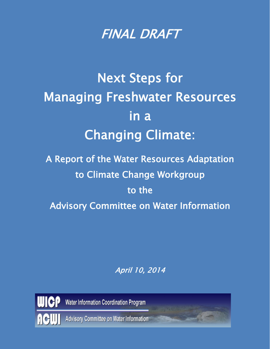

## Next Steps for Managing Freshwater Resources in a Changing Climate:

A Report of the Water Resources Adaptation to Climate Change Workgroup to the Advisory Committee on Water Information

April 10, 2014



Water Information Coordination Program

Advisory Committee on Water Information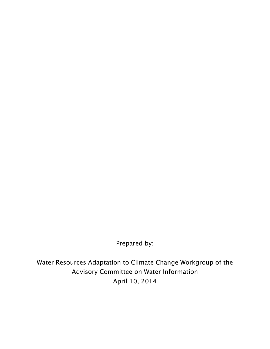Prepared by:

Water Resources Adaptation to Climate Change Workgroup of the Advisory Committee on Water Information April 10, 2014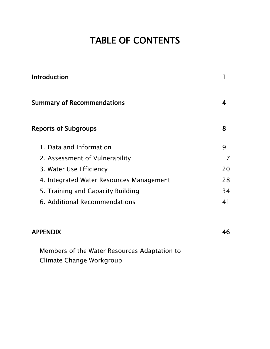## TABLE OF CONTENTS

| <b>Introduction</b>                      |    |  |
|------------------------------------------|----|--|
| <b>Summary of Recommendations</b>        | 4  |  |
| <b>Reports of Subgroups</b>              | 8  |  |
| 1. Data and Information                  | 9  |  |
| 2. Assessment of Vulnerability           | 17 |  |
| 3. Water Use Efficiency                  | 20 |  |
| 4. Integrated Water Resources Management | 28 |  |
| 5. Training and Capacity Building        | 34 |  |
| 6. Additional Recommendations            | 41 |  |

#### APPENDIX 46

Members of the Water Resources Adaptation to Climate Change Workgroup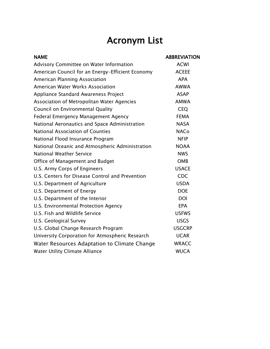## Acronym List

| <b>NAME</b>                                      | <b>ABBREVIATION</b> |
|--------------------------------------------------|---------------------|
| Advisory Committee on Water Information          | <b>ACWI</b>         |
| American Council for an Energy-Efficient Economy | <b>ACEEE</b>        |
| American Planning Association                    | <b>APA</b>          |
| American Water Works Association                 | <b>AWWA</b>         |
| Appliance Standard Awareness Project             | <b>ASAP</b>         |
| Association of Metropolitan Water Agencies       | <b>AMWA</b>         |
| Council on Environmental Quality                 | <b>CEQ</b>          |
| <b>Federal Emergency Management Agency</b>       | <b>FEMA</b>         |
| National Aeronautics and Space Administration    | <b>NASA</b>         |
| <b>National Association of Counties</b>          | <b>NACo</b>         |
| National Flood Insurance Program                 | <b>NFIP</b>         |
| National Oceanic and Atmospheric Administration  | <b>NOAA</b>         |
| <b>National Weather Service</b>                  | <b>NWS</b>          |
| Office of Management and Budget                  | <b>OMB</b>          |
| U.S. Army Corps of Engineers                     | <b>USACE</b>        |
| U.S. Centers for Disease Control and Prevention  | <b>CDC</b>          |
| U.S. Department of Agriculture                   | <b>USDA</b>         |
| U.S. Department of Energy                        | <b>DOE</b>          |
| U.S. Department of the Interior                  | <b>DOI</b>          |
| U.S. Environmental Protection Agency             | <b>EPA</b>          |
| U.S. Fish and Wildlife Service                   | <b>USFWS</b>        |
| U.S. Geological Survey                           | <b>USGS</b>         |
| U.S. Global Change Research Program              | <b>USGCRP</b>       |
| University Corporation for Atmospheric Research  | <b>UCAR</b>         |
| Water Resources Adaptation to Climate Change     | <b>WRACC</b>        |
| Water Utility Climate Alliance                   | <b>WUCA</b>         |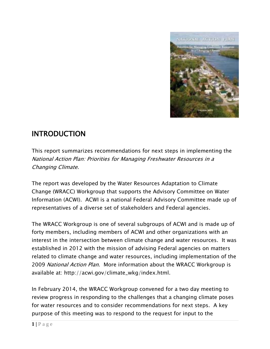

## INTRODUCTION

This report summarizes recommendations for next steps in implementing the National Action Plan: Priorities for Managing Freshwater Resources in a Changing Climate.

The report was developed by the Water Resources Adaptation to Climate Change (WRACC) Workgroup that supports the Advisory Committee on Water Information (ACWI). ACWI is a national Federal Advisory Committee made up of representatives of a diverse set of stakeholders and Federal agencies.

The WRACC Workgroup is one of several subgroups of ACWI and is made up of forty members, including members of ACWI and other organizations with an interest in the intersection between climate change and water resources. It was established in 2012 with the mission of advising Federal agencies on matters related to climate change and water resources, including implementation of the 2009 National Action Plan. More information about the WRACC Workgroup is available at: http://acwi.gov/climate\_wkg/index.html.

In February 2014, the WRACC Workgroup convened for a two day meeting to review progress in responding to the challenges that a changing climate poses for water resources and to consider recommendations for next steps. A key purpose of this meeting was to respond to the request for input to the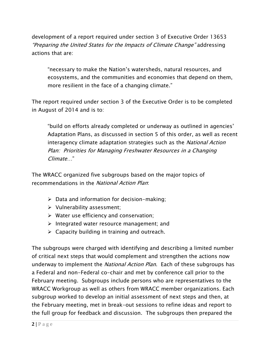development of a report required under section 3 of Executive Order 13653 "Preparing the United States for the Impacts of Climate Change" addressing actions that are:

"necessary to make the Nation's watersheds, natural resources, and ecosystems, and the communities and economies that depend on them, more resilient in the face of a changing climate."

The report required under section 3 of the Executive Order is to be completed in August of 2014 and is to:

"build on efforts already completed or underway as outlined in agencies' Adaptation Plans, as discussed in section 5 of this order, as well as recent interagency climate adaptation strategies such as the *National Action* Plan: Priorities for Managing Freshwater Resources in a Changing Climate…"

The WRACC organized five subgroups based on the major topics of recommendations in the National Action Plan:

- $\triangleright$  Data and information for decision-making;
- $\triangleright$  Vulnerability assessment;
- $\triangleright$  Water use efficiency and conservation;
- $\triangleright$  Integrated water resource management; and
- $\triangleright$  Capacity building in training and outreach.

The subgroups were charged with identifying and describing a limited number of critical next steps that would complement and strengthen the actions now underway to implement the *National Action Plan*. Each of these subgroups has a Federal and non-Federal co-chair and met by conference call prior to the February meeting. Subgroups include persons who are representatives to the WRACC Workgroup as well as others from WRACC member organizations. Each subgroup worked to develop an initial assessment of next steps and then, at the February meeting, met in break-out sessions to refine ideas and report to the full group for feedback and discussion. The subgroups then prepared the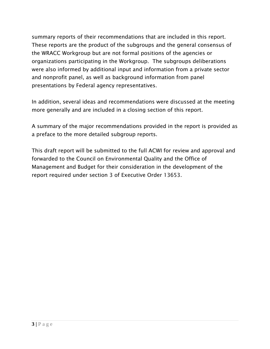summary reports of their recommendations that are included in this report. These reports are the product of the subgroups and the general consensus of the WRACC Workgroup but are not formal positions of the agencies or organizations participating in the Workgroup. The subgroups deliberations were also informed by additional input and information from a private sector and nonprofit panel, as well as background information from panel presentations by Federal agency representatives.

In addition, several ideas and recommendations were discussed at the meeting more generally and are included in a closing section of this report.

A summary of the major recommendations provided in the report is provided as a preface to the more detailed subgroup reports.

This draft report will be submitted to the full ACWI for review and approval and forwarded to the Council on Environmental Quality and the Office of Management and Budget for their consideration in the development of the report required under section 3 of Executive Order 13653.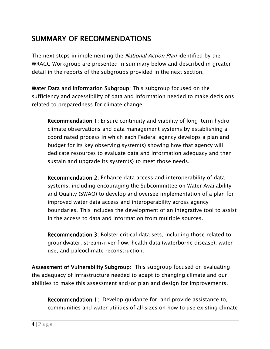## SUMMARY OF RECOMMENDATIONS

The next steps in implementing the *National Action Plan* identified by the WRACC Workgroup are presented in summary below and described in greater detail in the reports of the subgroups provided in the next section.

Water Data and Information Subgroup: This subgroup focused on the sufficiency and accessibility of data and information needed to make decisions related to preparedness for climate change.

Recommendation 1: Ensure continuity and viability of long-term hydroclimate observations and data management systems by establishing a coordinated process in which each Federal agency develops a plan and budget for its key observing system(s) showing how that agency will dedicate resources to evaluate data and information adequacy and then sustain and upgrade its system(s) to meet those needs.

Recommendation 2: Enhance data access and interoperability of data systems, including encouraging the Subcommittee on Water Availability and Quality (SWAQ) to develop and oversee implementation of a plan for improved water data access and interoperability across agency boundaries. This includes the development of an integrative tool to assist in the access to data and information from multiple sources.

Recommendation 3: Bolster critical data sets, including those related to groundwater, stream/river flow, health data (waterborne disease), water use, and paleoclimate reconstruction.

Assessment of Vulnerability Subgroup: This subgroup focused on evaluating the adequacy of infrastructure needed to adapt to changing climate and our abilities to make this assessment and/or plan and design for improvements.

Recommendation 1: Develop guidance for, and provide assistance to, communities and water utilities of all sizes on how to use existing climate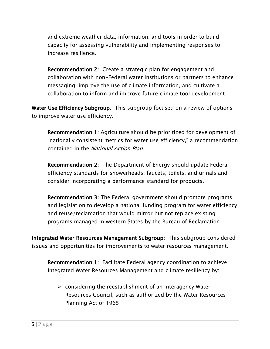and extreme weather data, information, and tools in order to build capacity for assessing vulnerability and implementing responses to increase resilience.

Recommendation 2: Create a strategic plan for engagement and collaboration with non-Federal water institutions or partners to enhance messaging, improve the use of climate information, and cultivate a collaboration to inform and improve future climate tool development.

Water Use Efficiency Subgroup: This subgroup focused on a review of options to improve water use efficiency.

Recommendation 1: Agriculture should be prioritized for development of "nationally consistent metrics for water use efficiency," a recommendation contained in the National Action Plan.

Recommendation 2: The Department of Energy should update Federal efficiency standards for showerheads, faucets, toilets, and urinals and consider incorporating a performance standard for products.

Recommendation 3: The Federal government should promote programs and legislation to develop a national funding program for water efficiency and reuse/reclamation that would mirror but not replace existing programs managed in western States by the Bureau of Reclamation.

Integrated Water Resources Management Subgroup: This subgroup considered issues and opportunities for improvements to water resources management.

Recommendation 1: Facilitate Federal agency coordination to achieve Integrated Water Resources Management and climate resiliency by:

 $\triangleright$  considering the reestablishment of an interagency Water Resources Council, such as authorized by the Water Resources Planning Act of 1965;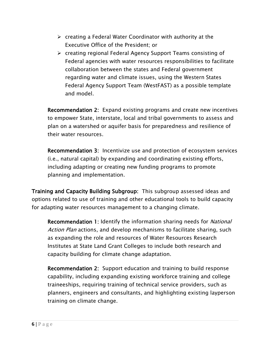- $\triangleright$  creating a Federal Water Coordinator with authority at the Executive Office of the President; or
- creating regional Federal Agency Support Teams consisting of Federal agencies with water resources responsibilities to facilitate collaboration between the states and Federal government regarding water and climate issues, using the Western States Federal Agency Support Team (WestFAST) as a possible template and model.

Recommendation 2: Expand existing programs and create new incentives to empower State, interstate, local and tribal governments to assess and plan on a watershed or aquifer basis for preparedness and resilience of their water resources.

Recommendation 3: Incentivize use and protection of ecosystem services (i.e., natural capital) by expanding and coordinating existing efforts, including adapting or creating new funding programs to promote planning and implementation.

Training and Capacity Building Subgroup: This subgroup assessed ideas and options related to use of training and other educational tools to build capacity for adapting water resources management to a changing climate.

Recommendation 1: Identify the information sharing needs for National Action Plan actions, and develop mechanisms to facilitate sharing, such as expanding the role and resources of Water Resources Research Institutes at State Land Grant Colleges to include both research and capacity building for climate change adaptation.

Recommendation 2: Support education and training to build response capability, including expanding existing workforce training and college traineeships, requiring training of technical service providers, such as planners, engineers and consultants, and highlighting existing layperson training on climate change.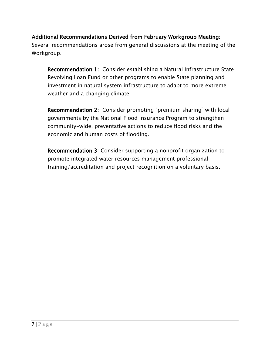#### Additional Recommendations Derived from February Workgroup Meeting:

Several recommendations arose from general discussions at the meeting of the Workgroup.

Recommendation 1: Consider establishing a Natural Infrastructure State Revolving Loan Fund or other programs to enable State planning and investment in natural system infrastructure to adapt to more extreme weather and a changing climate.

Recommendation 2: Consider promoting "premium sharing" with local governments by the National Flood Insurance Program to strengthen community-wide, preventative actions to reduce flood risks and the economic and human costs of flooding.

Recommendation 3: Consider supporting a nonprofit organization to promote integrated water resources management professional training/accreditation and project recognition on a voluntary basis.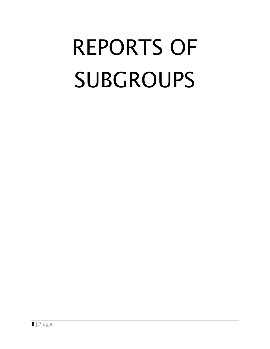# REPORTS OF SUBGROUPS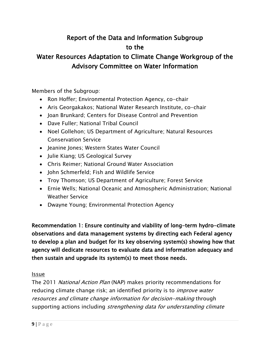## Report of the Data and Information Subgroup to the

## Water Resources Adaptation to Climate Change Workgroup of the Advisory Committee on Water Information

Members of the Subgroup:

- Ron Hoffer; Environmental Protection Agency, co-chair
- Aris Georgakakos; National Water Research Institute, co-chair
- Joan Brunkard; Centers for Disease Control and Prevention
- Dave Fuller; National Tribal Council
- Noel Gollehon; US Department of Agriculture; Natural Resources Conservation Service
- Jeanine Jones; Western States Water Council
- Julie Kiang; US Geological Survey
- Chris Reimer; National Ground Water Association
- John Schmerfeld; Fish and Wildlife Service
- Troy Thomson; US Department of Agriculture; Forest Service
- Ernie Wells; National Oceanic and Atmospheric Administration; National Weather Service
- Dwayne Young; Environmental Protection Agency

Recommendation 1: Ensure continuity and viability of long-term hydro-climate observations and data management systems by directing each Federal agency to develop a plan and budget for its key observing system(s) showing how that agency will dedicate resources to evaluate data and information adequacy and then sustain and upgrade its system(s) to meet those needs.

#### Issue

The 2011 National Action Plan (NAP) makes priority recommendations for reducing climate change risk; an identified priority is to *improve water* resources and climate change information for decision-making through supporting actions including strengthening data for understanding climate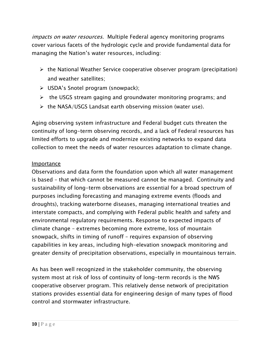impacts on water resources. Multiple Federal agency monitoring programs cover various facets of the hydrologic cycle and provide fundamental data for managing the Nation's water resources, including:

- $\triangleright$  the National Weather Service cooperative observer program (precipitation) and weather satellites;
- $\triangleright$  USDA's Snotel program (snowpack);
- $\triangleright$  the USGS stream gaging and groundwater monitoring programs; and
- $\triangleright$  the NASA/USGS Landsat earth observing mission (water use).

Aging observing system infrastructure and Federal budget cuts threaten the continuity of long-term observing records, and a lack of Federal resources has limited efforts to upgrade and modernize existing networks to expand data collection to meet the needs of water resources adaptation to climate change.

#### Importance

Observations and data form the foundation upon which all water management is based – that which cannot be measured cannot be managed. Continuity and sustainability of long-term observations are essential for a broad spectrum of purposes including forecasting and managing extreme events (floods and droughts), tracking waterborne diseases, managing international treaties and interstate compacts, and complying with Federal public health and safety and environmental regulatory requirements. Response to expected impacts of climate change – extremes becoming more extreme, loss of mountain snowpack, shifts in timing of runoff – requires expansion of observing capabilities in key areas, including high-elevation snowpack monitoring and greater density of precipitation observations, especially in mountainous terrain.

As has been well recognized in the stakeholder community, the observing system most at risk of loss of continuity of long-term records is the NWS cooperative observer program. This relatively dense network of precipitation stations provides essential data for engineering design of many types of flood control and stormwater infrastructure.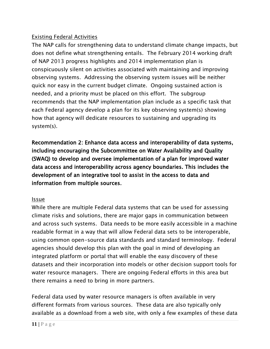#### Existing Federal Activities

The NAP calls for strengthening data to understand climate change impacts, but does not define what strengthening entails. The February 2014 working draft of NAP 2013 progress highlights and 2014 implementation plan is conspicuously silent on activities associated with maintaining and improving observing systems. Addressing the observing system issues will be neither quick nor easy in the current budget climate. Ongoing sustained action is needed, and a priority must be placed on this effort. The subgroup recommends that the NAP implementation plan include as a specific task that each Federal agency develop a plan for its key observing system(s) showing how that agency will dedicate resources to sustaining and upgrading its system(s).

Recommendation 2: Enhance data access and interoperability of data systems, including encouraging the Subcommittee on Water Availability and Quality (SWAQ) to develop and oversee implementation of a plan for improved water data access and interoperability across agency boundaries. This includes the development of an integrative tool to assist in the access to data and information from multiple sources.

#### Issue

While there are multiple Federal data systems that can be used for assessing climate risks and solutions, there are major gaps in communication between and across such systems. Data needs to be more easily accessible in a machine readable format in a way that will allow Federal data sets to be interoperable, using common open-source data standards and standard terminology. Federal agencies should develop this plan with the goal in mind of developing an integrated platform or portal that will enable the easy discovery of these datasets and their incorporation into models or other decision support tools for water resource managers. There are ongoing Federal efforts in this area but there remains a need to bring in more partners.

Federal data used by water resource managers is often available in very different formats from various sources. These data are also typically only available as a download from a web site, with only a few examples of these data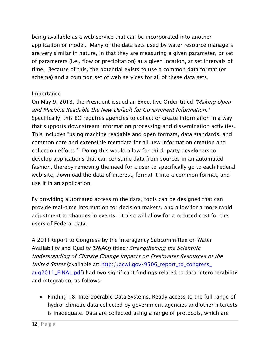being available as a web service that can be incorporated into another application or model. Many of the data sets used by water resource managers are very similar in nature, in that they are measuring a given parameter, or set of parameters (i.e., flow or precipitation) at a given location, at set intervals of time. Because of this, the potential exists to use a common data format (or schema) and a common set of web services for all of these data sets.

#### Importance

On May 9, 2013, the President issued an Executive Order titled "Making Open and Machine Readable the New Default for Government Information." Specifically, this EO requires agencies to collect or create information in a way that supports downstream information processing and dissemination activities. This includes "using machine readable and open formats, data standards, and common core and extensible metadata for all new information creation and collection efforts." Doing this would allow for third-party developers to develop applications that can consume data from sources in an automated fashion, thereby removing the need for a user to specifically go to each Federal web site, download the data of interest, format it into a common format, and use it in an application.

By providing automated access to the data, tools can be designed that can provide real-time information for decision makers, and allow for a more rapid adjustment to changes in events. It also will allow for a reduced cost for the users of Federal data.

A 2011Report to Congress by the interagency Subcommittee on Water Availability and Quality (SWAQ) titled: Strengthening the Scientific Understanding of Climate Change Impacts on Freshwater Resources of the United States (available at: [http://acwi.gov/9506\\_report\\_to\\_congress\\_](http://acwi.gov/9506_report_to_congress_%20aug2011_FINAL.pdf)  [aug2011\\_FINAL.pdf\)](http://acwi.gov/9506_report_to_congress_%20aug2011_FINAL.pdf) had two significant findings related to data interoperability and integration, as follows:

• Finding 18: Interoperable Data Systems. Ready access to the full range of hydro-climatic data collected by government agencies and other interests is inadequate. Data are collected using a range of protocols, which are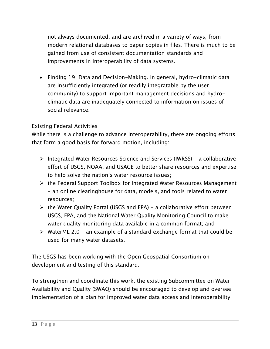not always documented, and are archived in a variety of ways, from modern relational databases to paper copies in files. There is much to be gained from use of consistent documentation standards and improvements in interoperability of data systems.

• Finding 19: Data and Decision-Making. In general, hydro-climatic data are insufficiently integrated (or readily integratable by the user community) to support important management decisions and hydroclimatic data are inadequately connected to information on issues of social relevance.

#### Existing Federal Activities

While there is a challenge to advance interoperability, there are ongoing efforts that form a good basis for forward motion, including:

- Integrated Water Resources Science and Services (IWRSS) a collaborative effort of USGS, NOAA, and USACE to better share resources and expertise to help solve the nation's water resource issues;
- $\triangleright$  the Federal Support Toolbox for Integrated Water Resources Management - an online clearinghouse for data, models, and tools related to water resources;
- $\triangleright$  the Water Quality Portal (USGS and EPA) a collaborative effort between USGS, EPA, and the National Water Quality Monitoring Council to make water quality monitoring data available in a common format; and
- $\triangleright$  WaterML 2.0 an example of a standard exchange format that could be used for many water datasets.

The USGS has been working with the Open Geospatial Consortium on development and testing of this standard.

To strengthen and coordinate this work, the existing Subcommittee on Water Availability and Quality (SWAQ) should be encouraged to develop and oversee implementation of a plan for improved water data access and interoperability.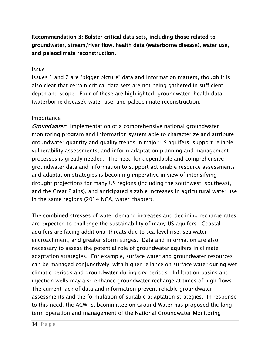Recommendation 3: Bolster critical data sets, including those related to groundwater, stream/river flow, health data (waterborne disease), water use, and paleoclimate reconstruction.

#### Issue

Issues 1 and 2 are "bigger picture" data and information matters, though it is also clear that certain critical data sets are not being gathered in sufficient depth and scope. Four of these are highlighted: groundwater, health data (waterborne disease), water use, and paleoclimate reconstruction.

#### Importance

Groundwater: Implementation of a comprehensive national groundwater monitoring program and information system able to characterize and attribute groundwater quantity and quality trends in major US aquifers, support reliable vulnerability assessments, and inform adaptation planning and management processes is greatly needed. The need for dependable and comprehensive groundwater data and information to support actionable resource assessments and adaptation strategies is becoming imperative in view of intensifying drought projections for many US regions (including the southwest, southeast, and the Great Plains), and anticipated sizable increases in agricultural water use in the same regions (2014 NCA, water chapter).

The combined stresses of water demand increases and declining recharge rates are expected to challenge the sustainability of many US aquifers. Coastal aquifers are facing additional threats due to sea level rise, sea water encroachment, and greater storm surges. Data and information are also necessary to assess the potential role of groundwater aquifers in climate adaptation strategies. For example, surface water and groundwater resources can be managed conjunctively, with higher reliance on surface water during wet climatic periods and groundwater during dry periods. Infiltration basins and injection wells may also enhance groundwater recharge at times of high flows. The current lack of data and information prevent reliable groundwater assessments and the formulation of suitable adaptation strategies. In response to this need, the ACWI Subcommittee on Ground Water has proposed the longterm operation and management of the National Groundwater Monitoring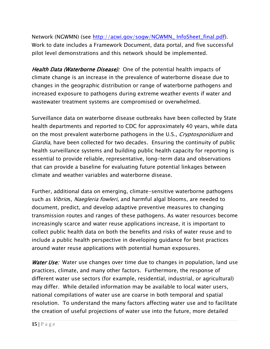Network (NGWMN) (see [http://acwi.gov/sogw/NGWMN\\_ InfoSheet\\_final.pdf\)](http://acwi.gov/sogw/NGWMN_%20InfoSheet_final.pdf). Work to date includes a Framework Document, data portal, and five successful pilot level demonstrations and this network should be implemented.

Health Data (Waterborne Disease): One of the potential health impacts of climate change is an increase in the prevalence of waterborne disease due to changes in the geographic distribution or range of waterborne pathogens and increased exposure to pathogens during extreme weather events if water and wastewater treatment systems are compromised or overwhelmed.

Surveillance data on waterborne disease outbreaks have been collected by State health departments and reported to CDC for approximately 40 years, while data on the most prevalent waterborne pathogens in the U.S., *Cryptosporidium* and Giardia, have been collected for two decades. Ensuring the continuity of public health surveillance systems and building public health capacity for reporting is essential to provide reliable, representative, long-term data and observations that can provide a baseline for evaluating future potential linkages between climate and weather variables and waterborne disease.

Further, additional data on emerging, climate-sensitive waterborne pathogens such as *Vibrios, Naegleria fowleri*, and harmful algal blooms, are needed to document, predict, and develop adaptive preventive measures to changing transmission routes and ranges of these pathogens. As water resources become increasingly scarce and water reuse applications increase, it is important to collect public health data on both the benefits and risks of water reuse and to include a public health perspective in developing guidance for best practices around water reuse applications with potential human exposures.

Water Use: Water use changes over time due to changes in population, land use practices, climate, and many other factors. Furthermore, the response of different water use sectors (for example, residential, industrial, or agricultural) may differ. While detailed information may be available to local water users, national compilations of water use are coarse in both temporal and spatial resolution. To understand the many factors affecting water use and to facilitate the creation of useful projections of water use into the future, more detailed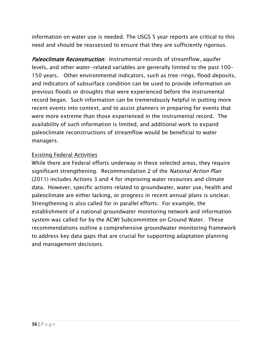information on water use is needed. The USGS 5 year reports are critical to this need and should be reassessed to ensure that they are sufficiently rigorous.

Paleoclimate Reconstruction: Instrumental records of streamflow, aquifer levels, and other water-related variables are generally limited to the past 100- 150 years. Other environmental indicators, such as tree-rings, flood deposits, and indicators of subsurface condition can be used to provide information on previous floods or droughts that were experienced before the instrumental record began. Such information can be tremendously helpful in putting more recent events into context, and to assist planners in preparing for events that were more extreme than those experienced in the instrumental record. The availability of such information is limited, and additional work to expand paleoclimate reconstructions of streamflow would be beneficial to water managers.

#### Existing Federal Activities

While there are Federal efforts underway in these selected areas, they require significant strengthening. Recommendation 2 of the *National Action Plan* (2011) includes Actions 3 and 4 for improving water resources and climate data. However, specific actions related to groundwater, water use, health and paleoclimate are either lacking, or progress in recent annual plans is unclear. Strengthening is also called for in parallel efforts. For example, the establishment of a national groundwater monitoring network and information system was called for by the ACWI Subcommittee on Ground Water. These recommendations outline a comprehensive groundwater monitoring framework to address key data gaps that are crucial for supporting adaptation planning and management decisions.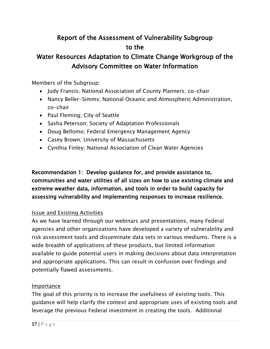## Report of the Assessment of Vulnerability Subgroup to the

## Water Resources Adaptation to Climate Change Workgroup of the Advisory Committee on Water Information

Members of the Subgroup:

- Judy Francis; National Association of County Planners; co-chair
- Nancy Beller-Simms; National Oceanic and Atmospheric Administration, co-chair
- Paul Fleming; City of Seattle
- Sasha Peterson; Society of Adaptation Professionals
- Doug Bellomo; Federal Emergency Management Agency
- Casey Brown; University of Massachusetts
- Cynthia Finley; National Association of Clean Water Agencies

Recommendation 1: Develop guidance for, and provide assistance to, communities and water utilities of all sizes on how to use existing climate and extreme weather data, information, and tools in order to build capacity for assessing vulnerability and implementing responses to increase resilience.

#### Issue and Existing Activities

As we have learned through our webinars and presentations, many Federal agencies and other organizations have developed a variety of vulnerability and risk assessment tools and disseminate data sets in various mediums. There is a wide breadth of applications of these products, but limited information available to guide potential users in making decisions about data interpretation and appropriate applications. This can result in confusion over findings and potentially flawed assessments.

#### Importance

The goal of this priority is to increase the usefulness of existing tools. This guidance will help clarify the context and appropriate uses of existing tools and leverage the previous Federal investment in creating the tools. Additional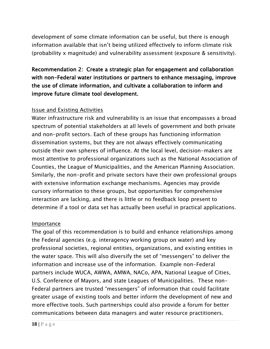development of some climate information can be useful, but there is enough information available that isn't being utilized effectively to inform climate risk (probability x magnitude) and vulnerability assessment (exposure & sensitivity).

Recommendation 2: Create a strategic plan for engagement and collaboration with non-Federal water institutions or partners to enhance messaging, improve the use of climate information, and cultivate a collaboration to inform and improve future climate tool development.

#### Issue and Existing Activities

Water infrastructure risk and vulnerability is an issue that encompasses a broad spectrum of potential stakeholders at all levels of government and both private and non-profit sectors. Each of these groups has functioning information dissemination systems, but they are not always effectively communicating outside their own spheres of influence. At the local level, decision-makers are most attentive to professional organizations such as the National Association of Counties, the League of Municipalities, and the American Planning Association. Similarly, the non-profit and private sectors have their own professional groups with extensive information exchange mechanisms. Agencies may provide cursory information to these groups, but opportunities for comprehensive interaction are lacking, and there is little or no feedback loop present to determine if a tool or data set has actually been useful in practical applications.

#### Importance

The goal of this recommendation is to build and enhance relationships among the Federal agencies (e.g. interagency working group on water) and key professional societies, regional entities, organizations, and existing entities in the water space. This will also diversify the set of "messengers" to deliver the information and increase use of the information. Example non-Federal partners include WUCA, AWWA, AMWA, NACo, APA, National League of Cities, U.S. Conference of Mayors, and state Leagues of Municipalities. These non-Federal partners are trusted "messengers" of information that could facilitate greater usage of existing tools and better inform the development of new and more effective tools. Such partnerships could also provide a forum for better communications between data managers and water resource practitioners.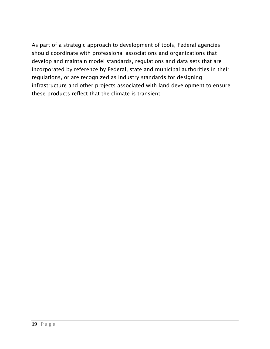As part of a strategic approach to development of tools, Federal agencies should coordinate with professional associations and organizations that develop and maintain model standards, regulations and data sets that are incorporated by reference by Federal, state and municipal authorities in their regulations, or are recognized as industry standards for designing infrastructure and other projects associated with land development to ensure these products reflect that the climate is transient.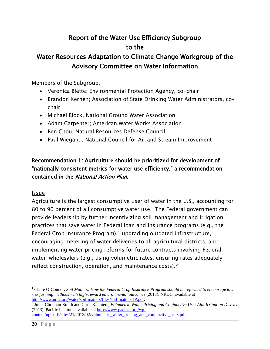## Report of the Water Use Efficiency Subgroup to the

## Water Resources Adaptation to Climate Change Workgroup of the Advisory Committee on Water Information

Members of the Subgroup:

- Veronica Blette; Environmental Protection Agency, co-chair
- Brandon Kernen; Association of State Drinking Water Administrators, cochair
- Michael Block, National Ground Water Association
- Adam Carpenter; American Water Works Association
- Ben Chou; Natural Resources Defense Council
- Paul Wiegand; National Council for Air and Stream Improvement

#### Recommendation 1: Agriculture should be prioritized for development of "nationally consistent metrics for water use efficiency," a recommendation contained in the National Action Plan.

#### Issue

Agriculture is the largest consumptive user of water in the U.S., accounting for 80 to 90 percent of all consumptive water use. The Federal government can provide leadership by further incentivizing soil management and irrigation practices that save water in Federal loan and insurance programs (e.g., the Federal Crop Insurance Program), $1$  upgrading outdated infrastructure, encouraging metering of water deliveries to all agricultural districts, and implementing water pricing reforms for future contracts involving Federal water-wholesalers (e.g., using volumetric rates; ensuring rates adequately reflect construction, operation, and maintenance costs).[2](#page-23-1)

<span id="page-23-0"></span><sup>&</sup>lt;sup>1</sup> Claire O'Connor, Soil Matters: How the Federal Crop Insurance Program should be reformed to encourage low*risk farming methods with high-reward environmental outcomes* (2013), NRDC, available at http://www.nrdc.org/water/soil-matters/files/soil-matters-IP.pdf.

<span id="page-23-1"></span><sup>&</sup>lt;sup>[2](http://www.nrdc.org/water/soil-matters/files/soil-matters-IP.pdf)</sup> Juliet Christian-Smith and Chris Kaphiem, *Volumetric Water Pricing and Conjunctive Use: Alta Irrigation District* (2013), Pacific Institute, available at [http://www.pacinst.org/wp-](http://www.pacinst.org/wp-content/uploads/sites/21/2013/02/volumetric_water_pricing_and_conjunctive_use3.pdf)

[content/uploads/sites/21/2013/02/volumetric\\_water\\_pricing\\_and\\_conjunctive\\_use3.pdf.](http://www.pacinst.org/wp-content/uploads/sites/21/2013/02/volumetric_water_pricing_and_conjunctive_use3.pdf)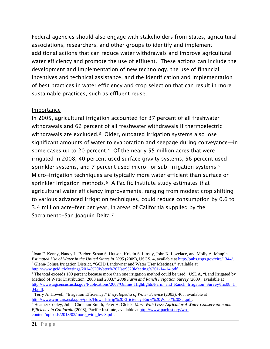Federal agencies should also engage with stakeholders from States, agricultural associations, researchers, and other groups to identify and implement additional actions that can reduce water withdrawals and improve agricultural water efficiency and promote the use of effluent. These actions can include the development and implementation of new technology, the use of financial incentives and technical assistance, and the identification and implementation of best practices in water efficiency and crop selection that can result in more sustainable practices, such as effluent reuse.

#### Importance

In 2005, agricultural irrigation accounted for 37 percent of all freshwater withdrawals and 62 percent of all freshwater withdrawals if thermoelectric withdrawals are excluded.[3](#page-24-0) Older, outdated irrigation systems also lose significant amounts of water to evaporation and seepage during conveyance—in some cases up to 20 percent.<sup>4</sup> Of the nearly 55 million acres that were irrigated in 2008, 40 percent used surface gravity systems, 56 percent used sprinkler systems, and 7 percent used micro- or sub-irrigation systems.[5](#page-24-2)  Micro-irrigation techniques are typically more water efficient than surface or sprinkler irrigation methods.<sup>[6](#page-24-3)</sup> A Pacific Institute study estimates that agricultural water efficiency improvements, ranging from modest crop shifting to various advanced irrigation techniques, could reduce consumption by 0.6 to 3.4 million acre-feet per year, in areas of California supplied by the Sacramento-San Joaquin Delta.[7](#page-24-4)

<span id="page-24-0"></span><sup>&</sup>lt;sup>3</sup>Joan F. Kenny, Nancy L. Barber, Susan S. Hutson, Kristin S. Linsey, John K. Lovelace, and Molly A. Maupin, *Estimated Use of Water in the United States in 2005* (2009), USGS, 4, available at [http://pubs.usgs.gov/circ/1344/.](http://pubs.usgs.gov/circ/1344/)<br><sup>4</sup> Glenn-Colusa Irrigation District, "GCID Landowner and Water User Meetings," available at http://www.g

<span id="page-24-2"></span><span id="page-24-1"></span> $\frac{1}{2}$  The total exceeds 100 percent because more than one irrigation method could be used. USDA, "Land Irrigated by Method of Water Distribution: 2008 and 2003," *2008 Farm and Ranch Irrigation Survey* (2009), available at [http://www.agcensus.usda.gov/Publications/2007/Online\\_Highlights/Farm\\_and\\_Ranch\\_Irrigation\\_Survey/fris08\\_1\\_](http://www.agcensus.usda.gov/Publications/2007/Online_Highlights/Farm_and_Ranch_Irrigation_Survey/fris08_1_04.pdf)04.pdf.

<span id="page-24-3"></span><sup>&</sup>lt;sup>[6](http://www.agcensus.usda.gov/Publications/2007/Online_Highlights/Farm_and_Ranch_Irrigation_Survey/fris08_1_04.pdf)</sup> Terry A. Howell, "Irrigation Efficiency," *Encyclopedia of Water Science* (2003), 468, available at http://www.cprl.ars.usda.gov/pdfs/Howell-Irrig%20Efficiency-Ency%20Water%20Sci.pdf.

<span id="page-24-4"></span><sup>&</sup>lt;sup>[7](http://www.cprl.ars.usda.gov/pdfs/Howell-Irrig%20Efficiency-Ency%20Water%20Sci.pdf)</sup> Heather Cooley, Juliet Christian-Smith, Peter H. Gleick, *More With Less: Agricultural Water Conservation and Efficiency in California* (2008), Pacific Institute, available at [http://www.pacinst.org/wp](http://www.pacinst.org/wp-content/uploads/2013/02/more_with_less3.pdf)[content/uploads/2013/02/more\\_with\\_less3.pdf.](http://www.pacinst.org/wp-content/uploads/2013/02/more_with_less3.pdf)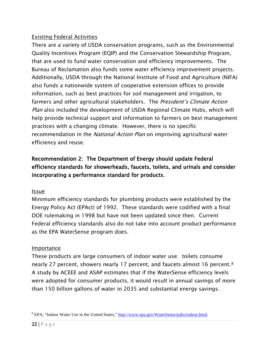#### Existing Federal Activities

There are a variety of USDA conservation programs, such as the Environmental Quality Incentives Program (EQIP) and the Conservation Stewardship Program, that are used to fund water conservation and efficiency improvements. The Bureau of Reclamation also funds some water efficiency improvement projects. Additionally, USDA through the National Institute of Food and Agriculture (NIFA) also funds a nationwide system of cooperative extension offices to provide information, such as best practices for soil management and irrigation, to farmers and other agricultural stakeholders. The President's Climate Action Plan also included the development of USDA Regional Climate Hubs, which will help provide technical support and information to farmers on best management practices with a changing climate. However, there is no specific recommendation in the *National Action Plan* on improving agricultural water efficiency and reuse.

#### Recommendation 2: The Department of Energy should update Federal efficiency standards for showerheads, faucets, toilets, and urinals and consider incorporating a performance standard for products.

#### Issue

Minimum efficiency standards for plumbing products were established by the Energy Policy Act (EPAct) of 1992. These standards were codified with a final DOE rulemaking in 1998 but have not been updated since then. Current Federal efficiency standards also do not take into account product performance as the EPA WaterSense program does.

#### Importance

These products are large consumers of indoor water use: toilets consume nearly 27 percent, showers nearly 17 percent, and faucets almost 16 percent.[8](#page-25-0)  A study by ACEEE and ASAP estimates that if the WaterSense efficiency levels were adopted for consumer products, it would result in annual savings of more than 150 billion gallons of water in 2035 and substantial energy savings.

<span id="page-25-0"></span><sup>8</sup> EPA, "Indoor Water Use in the United States," [http://www.epa.gov/WaterSense/pubs/indoor.html.](http://www.epa.gov/WaterSense/pubs/indoor.html)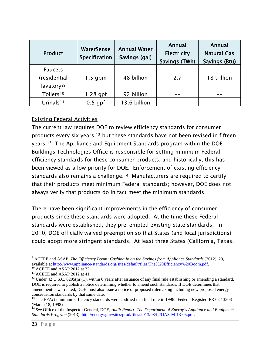| <b>Product</b>                                           | WaterSense<br>Specification | <b>Annual Water</b><br>Savings (gal) | Annual<br><b>Electricity</b><br>Savings (TWh) | Annual<br><b>Natural Gas</b><br>Savings (Btu) |
|----------------------------------------------------------|-----------------------------|--------------------------------------|-----------------------------------------------|-----------------------------------------------|
| <b>Faucets</b><br>(residential<br>lavatory) <sup>9</sup> | $1.5$ gpm                   | 48 billion                           | 2.7                                           | 18 trillion                                   |
| Toilets <sup>10</sup>                                    | $1.28$ gpf                  | 92 billion                           |                                               |                                               |
| Urinals <sup>11</sup>                                    | $0.5$ gpf                   | 13.6 billion                         |                                               |                                               |

#### Existing Federal Activities

The current law requires DOE to review efficiency standards for consumer products every six years,<sup>[12](#page-26-3)</sup> but these standards have not been revised in fifteen years.[13](#page-26-4) The Appliance and Equipment Standards program within the DOE Buildings Technologies Office is responsible for setting minimum Federal efficiency standards for these consumer products, and historically, this has been viewed as a low priority for DOE. Enforcement of existing efficiency standards also remains a challenge.[14](#page-26-5) Manufacturers are required to certify that their products meet minimum Federal standards; however, DOE does not always verify that products do in fact meet the minimum standards.

There have been significant improvements in the efficiency of consumer products since these standards were adopted. At the time these Federal standards were established, they pre-empted existing State standards. In 2010, DOE officially waived preemption so that States (and local jurisdictions) could adopt more stringent standards. At least three States (California, Texas,

<span id="page-26-0"></span><sup>&</sup>lt;sup>9</sup> ACEEE and ASAP, *The Efficiency Boom: Cashing In on the Savings from Appliance Standards* (2012), 29, available at http://www.appliance-standards.org/sites/default/files/The%20Efficiency%20Boom.pdf.

<span id="page-26-3"></span>

<span id="page-26-2"></span><span id="page-26-1"></span><sup>&</sup>lt;sup>10</sup> ACEEE and ASAP 2012 at 32.<br><sup>11</sup> ACEEE and ASAP 2012 at 41.<br><sup>12</sup> Under 42 U.S.C. 6295(m)(1), within 6 years after issuance of any final rule establishing or amending a standard, DOE is required to publish a notice determining whether to amend such standards. If DOE determines that amendment is warranted, DOE must also issue a notice of proposed rulemaking including new proposed energy conservation standards by that same date.<br><sup>13</sup> The EPAct minimum efficiency standards were codified in a final rule in 1998. Federal Register, FR 63 13308

<span id="page-26-4"></span><sup>(</sup>March 18, 1998)

<span id="page-26-5"></span><sup>&</sup>lt;sup>14</sup> See Office of the Inspector General, DOE, *Audit Report: The Department of Energy's Appliance and Equipment Standards Program* (2013), [http://energy.gov/sites/prod/files/2013/08/f2/OAS-M-13-05.pdf.](http://energy.gov/sites/prod/files/2013/08/f2/OAS-M-13-05.pdf)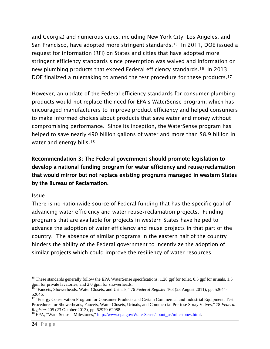and Georgia) and numerous cities, including New York City, Los Angeles, and San Francisco, have adopted more stringent standards.<sup>[15](#page-27-0)</sup> In 2011, DOE issued a request for information (RFI) on States and cities that have adopted more stringent efficiency standards since preemption was waived and information on new plumbing products that exceed Federal efficiency standards.[16](#page-27-1) In 2013, DOE finalized a rulemaking to amend the test procedure for these products.<sup>[17](#page-27-2)</sup>

However, an update of the Federal efficiency standards for consumer plumbing products would not replace the need for EPA's WaterSense program, which has encouraged manufacturers to improve product efficiency and helped consumers to make informed choices about products that save water and money without compromising performance. Since its inception, the WaterSense program has helped to save nearly 490 billion gallons of water and more than \$8.9 billion in water and energy bills.<sup>18</sup>

Recommendation 3: The Federal government should promote legislation to develop a national funding program for water efficiency and reuse/reclamation that would mirror but not replace existing programs managed in western States by the Bureau of Reclamation.

#### Issue

There is no nationwide source of Federal funding that has the specific goal of advancing water efficiency and water reuse/reclamation projects. Funding programs that are available for projects in western States have helped to advance the adoption of water efficiency and reuse projects in that part of the country. The absence of similar programs in the eastern half of the country hinders the ability of the Federal government to incentivize the adoption of similar projects which could improve the resiliency of water resources.

<span id="page-27-0"></span><sup>&</sup>lt;sup>15</sup> These standards generally follow the EPA WaterSense specifications: 1.28 gpf for toilet, 0.5 gpf for urinals, 1.5 gpm for private lavatories, and 2.0 gpm for showerheads.

<span id="page-27-1"></span><sup>&</sup>lt;sup>5</sup> "Faucets, Showerheads, Water Closets, and Urinals," 76 *Federal Register* 163 (23 August 2011), pp. 52644-52646.

<span id="page-27-2"></span><sup>&</sup>lt;sup>17</sup> "Energy Conservation Program for Consumer Products and Certain Commercial and Industrial Equipment: Test Procedures for Showerheads, Faucets, Water Closets, Urinals, and Commercial Prerinse Spray Valves," 78 *Federal Register* 205 (23 October 2013), pp. 62970-62988.<br><sup>18</sup> EPA, "WaterSense – Milestones," [http://www.epa.gov/WaterSense/about\\_us/milestones.html.](http://www.epa.gov/WaterSense/about_us/milestones.html)

<span id="page-27-3"></span>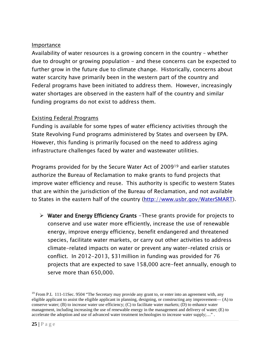#### Importance

Availability of water resources is a growing concern in the country – whether due to drought or growing population - and these concerns can be expected to further grow in the future due to climate change. Historically, concerns about water scarcity have primarily been in the western part of the country and Federal programs have been initiated to address them. However, increasingly water shortages are observed in the eastern half of the country and similar funding programs do not exist to address them.

#### Existing Federal Programs

Funding is available for some types of water efficiency activities through the State Revolving Fund programs administered by States and overseen by EPA. However, this funding is primarily focused on the need to address aging infrastructure challenges faced by water and wastewater utilities.

Programs provided for by the Secure Water Act of 2009[19](#page-28-0) and earlier statutes authorize the Bureau of Reclamation to make grants to fund projects that improve water efficiency and reuse. This authority is specific to western States that are within the jurisdiction of the Bureau of Reclamation, and not available to States in the eastern half of the country [\(http://www.usbr.gov/WaterSMART\)](http://www.usbr.gov/WaterSMART).

 Water and Energy Efficiency Grants -These grants provide for projects to conserve and use water more efficiently, increase the use of renewable energy, improve energy efficiency, benefit endangered and threatened species, facilitate water markets, or carry out other activities to address climate-related impacts on water or prevent any water-related crisis or conflict. In 2012-2013, \$31million in funding was provided for 76 projects that are expected to save 158,000 acre-feet annually, enough to serve more than 650,000.

<span id="page-28-0"></span><sup>&</sup>lt;sup>19</sup> From P.L 111-11Sec. 9504 "The Secretary may provide any grant to, or enter into an agreement with, any eligible applicant to assist the eligible applicant in planning, designing, or constructing any improvement— (A) to conserve water; (B) to increase water use efficiency; (C) to facilitate water markets; (D) to enhance water management, including increasing the use of renewable energy in the management and delivery of water; (E) to accelerate the adoption and use of advanced water treatment technologies to increase water supply;…" .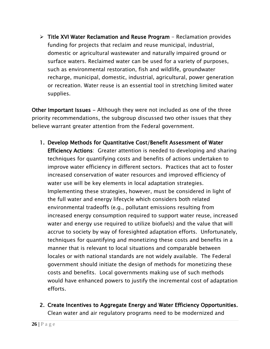$\triangleright$  Title XVI Water Reclamation and Reuse Program - Reclamation provides funding for projects that reclaim and reuse municipal, industrial, domestic or agricultural wastewater and naturally impaired ground or surface waters. Reclaimed water can be used for a variety of purposes, such as environmental restoration, fish and wildlife, groundwater recharge, municipal, domestic, industrial, agricultural, power generation or recreation. Water reuse is an essential tool in stretching limited water supplies.

Other Important Issues - Although they were not included as one of the three priority recommendations, the subgroup discussed two other issues that they believe warrant greater attention from the Federal government.

- 1. Develop Methods for Quantitative Cost/Benefit Assessment of Water Efficiency Actions: Greater attention is needed to developing and sharing techniques for quantifying costs and benefits of actions undertaken to improve water efficiency in different sectors. Practices that act to foster increased conservation of water resources and improved efficiency of water use will be key elements in local adaptation strategies. Implementing these strategies, however, must be considered in light of the full water and energy lifecycle which considers both related environmental tradeoffs (e.g., pollutant emissions resulting from increased energy consumption required to support water reuse, increased water and energy use required to utilize biofuels) and the value that will accrue to society by way of foresighted adaptation efforts. Unfortunately, techniques for quantifying and monetizing these costs and benefits in a manner that is relevant to local situations and comparable between locales or with national standards are not widely available. The Federal government should initiate the design of methods for monetizing these costs and benefits. Local governments making use of such methods would have enhanced powers to justify the incremental cost of adaptation efforts.
- 2. Create Incentives to Aggregate Energy and Water Efficiency Opportunities. Clean water and air regulatory programs need to be modernized and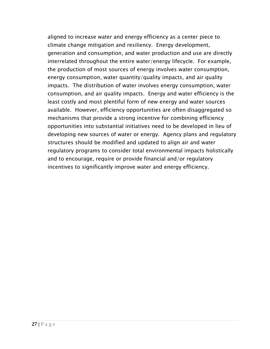aligned to increase water and energy efficiency as a center piece to climate change mitigation and resiliency. Energy development, generation and consumption, and water production and use are directly interrelated throughout the entire water/energy lifecycle. For example, the production of most sources of energy involves water consumption, energy consumption, water quantity/quality impacts, and air quality impacts. The distribution of water involves energy consumption, water consumption, and air quality impacts. [Energy and water efficiency](http://www.chevron.com/globalissues/energyefficiencyconservation/) is the least costly and most plentiful form of new energy and water sources available. However, efficiency opportunities are often disaggregated so mechanisms that provide a strong incentive for combining efficiency opportunities into substantial initiatives need to be developed in lieu of developing new sources of water or energy. Agency plans and regulatory structures should be modified and updated to align air and water regulatory programs to consider total environmental impacts holistically and to encourage, require or provide financial and/or regulatory incentives to significantly improve water and energy efficiency.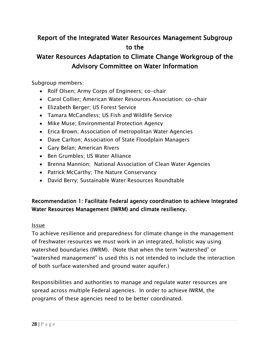## Report of the Integrated Water Resources Management Subgroup to the

## Water Resources Adaptation to Climate Change Workgroup of the Advisory Committee on Water Information

Subgroup members:

- Rolf Olsen; Army Corps of Engineers; co-chair
- Carol Collier; American Water Resources Association; co-chair
- Elizabeth Berger; US Forest Service
- Tamara McCandless; US Fish and Wildlife Service
- Mike Muse; Environmental Protection Agency
- Erica Brown; Association of metropolitan Water Agencies
- Dave Carlton; Association of State Floodplain Managers
- Gary Belan; American Rivers
- Ben Grumbles; US Water Alliance
- Brenna Mannion; National Association of Clean Water Agencies
- Patrick McCarthy; The Nature Conservancy
- David Berry; Sustainable Water Resources Roundtable

#### Recommendation 1: Facilitate Federal agency coordination to achieve Integrated Water Resources Management (IWRM) and climate resiliency.

#### Issue

To achieve resilience and preparedness for climate change in the management of freshwater resources we must work in an integrated, holistic way using watershed boundaries (IWRM). (Note that when the term "watershed" or "watershed management" is used this is not intended to include the interaction of both surface watershed and ground water aquifer.)

Responsibilities and authorities to manage and regulate water resources are spread across multiple Federal agencies. In order to achieve IWRM, the programs of these agencies need to be better coordinated.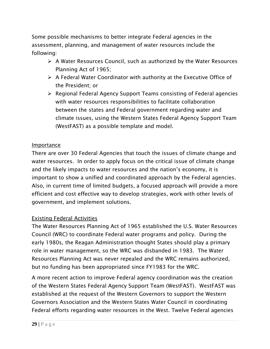Some possible mechanisms to better integrate Federal agencies in the assessment, planning, and management of water resources include the following:

- $\triangleright$  A Water Resources Council, such as authorized by the Water Resources Planning Act of 1965;
- $\triangleright$  A Federal Water Coordinator with authority at the Executive Office of the President; or
- $\triangleright$  Regional Federal Agency Support Teams consisting of Federal agencies with water resources responsibilities to facilitate collaboration between the states and Federal government regarding water and climate issues, using the Western States Federal Agency Support Team (WestFAST) as a possible template and model.

#### Importance

There are over 30 Federal Agencies that touch the issues of climate change and water resources. In order to apply focus on the critical issue of climate change and the likely impacts to water resources and the nation's economy, it is important to show a unified and coordinated approach by the Federal agencies. Also, in current time of limited budgets, a focused approach will provide a more efficient and cost effective way to develop strategies, work with other levels of government, and implement solutions.

#### Existing Federal Activities

The Water Resources Planning Act of 1965 established the U.S. Water Resources Council (WRC) to coordinate Federal water programs and policy. During the early 1980s, the Reagan Administration thought States should play a primary role in water management, so the WRC was disbanded in 1983. The Water Resources Planning Act was never repealed and the WRC remains authorized, but no funding has been appropriated since FY1983 for the WRC.

A more recent action to improve Federal agency coordination was the creation of the Western States Federal Agency Support Team (WestFAST). WestFAST was established at the request of the Western Governors to support the Western Governors Association and the Western States Water Council in coordinating Federal efforts regarding water resources in the West. Twelve Federal agencies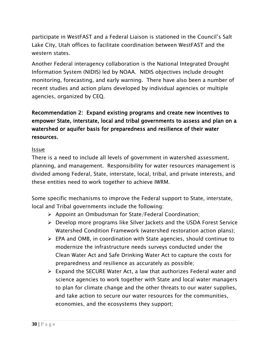participate in WestFAST and a Federal Liaison is stationed in the Council's Salt Lake City, Utah offices to facilitate coordination between WestFAST and the western states.

Another Federal interagency collaboration is the National Integrated Drought Information System (NIDIS) led by NOAA. NIDIS objectives include drought monitoring, forecasting, and early warning. There have also been a number of recent studies and action plans developed by individual agencies or multiple agencies, organized by CEQ.

#### Recommendation 2: Expand existing programs and create new incentives to empower State, interstate, local and tribal governments to assess and plan on a watershed or aquifer basis for preparedness and resilience of their water resources.

#### Issue

There is a need to include all levels of government in watershed assessment, planning, and management. Responsibility for water resources management is divided among Federal, State, interstate, local, tribal, and private interests, and these entities need to work together to achieve IWRM.

Some specific mechanisms to improve the Federal support to State, interstate, local and Tribal governments include the following:

- $\triangleright$  Appoint an Ombudsman for State/Federal Coordination;
- Develop more programs like Silver Jackets and the USDA Forest Service Watershed Condition Framework (watershed restoration action plans);
- EPA and OMB, in coordination with State agencies, should continue to modernize the infrastructure needs surveys conducted under the Clean Water Act and Safe Drinking Water Act to capture the costs for preparedness and resilience as accurately as possible;
- $\triangleright$  Expand the SECURE Water Act, a law that authorizes Federal water and science agencies to work together with State and local water managers to plan for climate change and the other threats to our water supplies, and take action to secure our water resources for the communities, economies, and the ecosystems they support;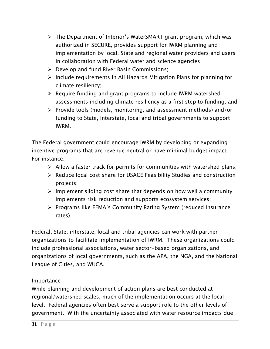- The Department of Interior's WaterSMART grant program, which was authorized in SECURE, provides support for IWRM planning and implementation by local, State and regional water providers and users in collaboration with Federal water and science agencies;
- $\triangleright$  Develop and fund River Basin Commissions;
- $\triangleright$  Include requirements in All Hazards Mitigation Plans for planning for climate resiliency;
- $\triangleright$  Require funding and grant programs to include IWRM watershed assessments including climate resiliency as a first step to funding; and
- $\triangleright$  Provide tools (models, monitoring, and assessment methods) and/or funding to State, interstate, local and tribal governments to support IWRM.

The Federal government could encourage IWRM by developing or expanding incentive programs that are revenue neutral or have minimal budget impact. For instance:

- $\triangleright$  Allow a faster track for permits for communities with watershed plans;
- $\triangleright$  Reduce local cost share for USACE Feasibility Studies and construction projects;
- $\triangleright$  Implement sliding cost share that depends on how well a community implements risk reduction and supports ecosystem services;
- ▶ Programs like FEMA's Community Rating System (reduced insurance rates).

Federal, State, interstate, local and tribal agencies can work with partner organizations to facilitate implementation of IWRM. These organizations could include professional associations, water sector-based organizations, and organizations of local governments, such as the APA, the NGA, and the National League of Cities, and WUCA.

#### **Importance**

While planning and development of action plans are best conducted at regional/watershed scales, much of the implementation occurs at the local level. Federal agencies often best serve a support role to the other levels of government. With the uncertainty associated with water resource impacts due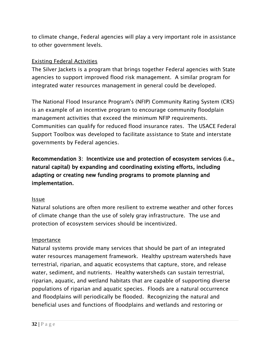to climate change, Federal agencies will play a very important role in assistance to other government levels.

#### Existing Federal Activities

The Silver Jackets is a program that brings together Federal agencies with State agencies to support improved flood risk management. A similar program for integrated water resources management in general could be developed.

The National Flood Insurance Program's (NFIP) Community Rating System (CRS) is an example of an incentive program to encourage community floodplain management activities that exceed the minimum NFIP requirements. Communities can qualify for reduced flood insurance rates. The USACE Federal Support Toolbox was developed to facilitate assistance to State and interstate governments by Federal agencies.

Recommendation 3: Incentivize use and protection of ecosystem services (i.e., natural capital) by expanding and coordinating existing efforts, including adapting or creating new funding programs to promote planning and implementation.

#### Issue

Natural solutions are often more resilient to extreme weather and other forces of climate change than the use of solely gray infrastructure. The use and protection of ecosystem services should be incentivized.

#### Importance

Natural systems provide many services that should be part of an integrated water resources management framework. Healthy upstream watersheds have terrestrial, riparian, and aquatic ecosystems that capture, store, and release water, sediment, and nutrients. Healthy watersheds can sustain terrestrial, riparian, aquatic, and wetland habitats that are capable of supporting diverse populations of riparian and aquatic species. Floods are a natural occurrence and floodplains will periodically be flooded. Recognizing the natural and beneficial uses and functions of floodplains and wetlands and restoring or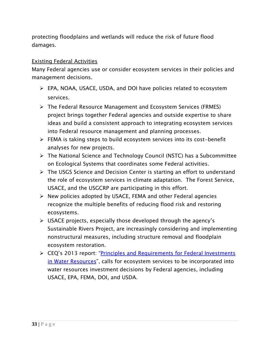protecting floodplains and wetlands will reduce the risk of future flood damages.

#### Existing Federal Activities

Many Federal agencies use or consider ecosystem services in their policies and management decisions.

- EPA, NOAA, USACE, USDA, and DOI have policies related to ecosystem services.
- The Federal Resource Management and Ecosystem Services (FRMES) project brings together Federal agencies and outside expertise to share ideas and build a consistent approach to integrating ecosystem services into Federal resource management and planning processes.
- FEMA is taking steps to build ecosystem services into its cost-benefit analyses for new projects.
- $\triangleright$  The National Science and Technology Council (NSTC) has a Subcommittee on Ecological Systems that coordinates some Federal activities.
- The USGS Science and Decision Center is starting an effort to understand the role of ecosystem services in climate adaptation. The Forest Service, USACE, and the USGCRP are participating in this effort.
- $\triangleright$  New policies adopted by USACE, FEMA and other Federal agencies recognize the multiple benefits of reducing flood risk and restoring ecosystems.
- $\triangleright$  USACE projects, especially those developed through the agency's Sustainable Rivers Project, are increasingly considering and implementing nonstructural measures, including structure removal and floodplain ecosystem restoration.
- ▶ CEQ's 2013 report: ["Principles and Requirements for Federal](http://www.whitehouse.gov/administration/eop/ceq/initiatives/PandG) Investments [in Water Resources"](http://www.whitehouse.gov/administration/eop/ceq/initiatives/PandG), calls for ecosystem services to be incorporated into water resources investment decisions by Federal agencies, including USACE, EPA, FEMA, DOI, and USDA.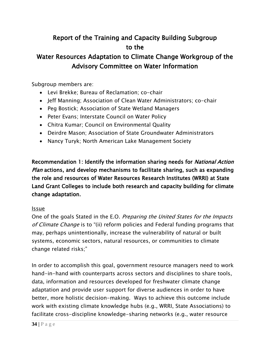## Report of the Training and Capacity Building Subgroup to the

## Water Resources Adaptation to Climate Change Workgroup of the Advisory Committee on Water Information

Subgroup members are:

- Levi Brekke; Bureau of Reclamation; co-chair
- Jeff Manning; Association of Clean Water Administrators; co-chair
- Peg Bostick; Association of State Wetland Managers
- Peter Evans; Interstate Council on Water Policy
- Chitra Kumar; Council on Environmental Quality
- Deirdre Mason; Association of State Groundwater Administrators
- Nancy Turyk; North American Lake Management Society

Recommendation 1: Identify the information sharing needs for *National Action* Plan actions, and develop mechanisms to facilitate sharing, such as expanding the role and resources of Water Resources Research Institutes (WRRI) at State Land Grant Colleges to include both research and capacity building for climate change adaptation.

#### Issue

One of the goals Stated in the E.O. Preparing the United States for the Impacts of Climate Change is to "(ii) reform policies and Federal funding programs that may, perhaps unintentionally, increase the vulnerability of natural or built systems, economic sectors, natural resources, or communities to climate change related risks;"

In order to accomplish this goal, government resource managers need to work hand-in-hand with counterparts across sectors and disciplines to share tools, data, information and resources developed for freshwater climate change adaptation and provide user support for diverse audiences in order to have better, more holistic decision-making. Ways to achieve this outcome include work with existing climate knowledge hubs (e.g., WRRI, State Associations) to facilitate cross-discipline knowledge-sharing networks (e.g., water resource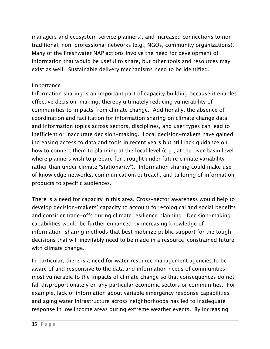managers and ecosystem service planners); and increased connections to nontraditional, non-professional networks (e.g., NGOs, community organizations). Many of the Freshwater NAP actions involve the need for development of information that would be useful to share, but other tools and resources may exist as well. Sustainable delivery mechanisms need to be identified.

#### Importance

Information sharing is an important part of capacity building because it enables effective decision-making, thereby ultimately reducing vulnerability of communities to impacts from climate change. Additionally, the absence of coordination and facilitation for information sharing on climate change data and information topics across sectors, disciplines, and user types can lead to inefficient or inaccurate decision-making. Local decision-makers have gained increasing access to data and tools in recent years but still lack guidance on how to connect them to planning at the local level (e.g., at the river basin level where planners wish to prepare for drought under future climate variability rather than under climate "stationarity"). Information sharing could make use of knowledge networks, communication/outreach, and tailoring of information products to specific audiences.

There is a need for capacity in this area. Cross-sector awareness would help to develop decision-makers' capacity to account for ecological and social benefits and consider trade-offs during climate resilience planning. Decision-making capabilities would be further enhanced by increasing knowledge of information-sharing methods that best mobilize public support for the tough decisions that will inevitably need to be made in a resource-constrained future with climate change.

In particular, there is a need for water resource management agencies to be aware of and responsive to the data and information needs of communities most vulnerable to the impacts of climate change so that consequences do not fall disproportionately on any particular economic sectors or communities. For example, lack of information about variable emergency response capabilities and aging water infrastructure across neighborhoods has led to inadequate response in low income areas during extreme weather events. By increasing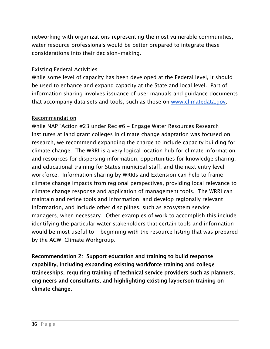networking with organizations representing the most vulnerable communities, water resource professionals would be better prepared to integrate these considerations into their decision-making.

#### Existing Federal Activities

While some level of capacity has been developed at the Federal level, it should be used to enhance and expand capacity at the State and local level. Part of information sharing involves issuance of user manuals and guidance documents that accompany data sets and tools, such as those on [www.climatedata.gov.](http://www.climatedata.gov/)

#### Recommendation

While NAP "Action #23 under Rec #6 - Engage Water Resources Research Institutes at land grant colleges in climate change adaptation was focused on research, we recommend expanding the charge to include capacity building for climate change. The WRRI is a very logical location hub for climate information and resources for dispersing information, opportunities for knowledge sharing, and educational training for States municipal staff, and the next entry level workforce. Information sharing by WRRIs and Extension can help to frame climate change impacts from regional perspectives, providing local relevance to climate change response and application of management tools. The WRRI can maintain and refine tools and information, and develop regionally relevant information, and include other disciplines, such as ecosystem service managers, when necessary. Other examples of work to accomplish this include identifying the particular water stakeholders that certain tools and information would be most useful to – beginning with the resource listing that was prepared by the ACWI Climate Workgroup.

Recommendation 2: Support education and training to build response capability, including expanding existing workforce training and college traineeships, requiring training of technical service providers such as planners, engineers and consultants, and highlighting existing layperson training on climate change.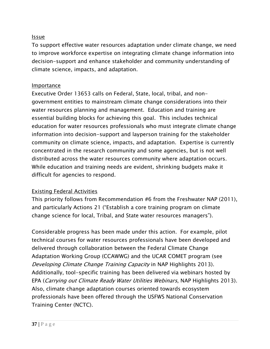#### Issue

To support effective water resources adaptation under climate change, we need to improve workforce expertise on integrating climate change information into decision-support and enhance stakeholder and community understanding of climate science, impacts, and adaptation.

#### Importance

Executive Order 13653 calls on Federal, State, local, tribal, and nongovernment entities to mainstream climate change considerations into their water resources planning and management. Education and training are essential building blocks for achieving this goal. This includes technical education for water resources professionals who must integrate climate change information into decision-support and layperson training for the stakeholder community on climate science, impacts, and adaptation. Expertise is currently concentrated in the research community and some agencies, but is not well distributed across the water resources community where adaptation occurs. While education and training needs are evident, shrinking budgets make it difficult for agencies to respond.

#### Existing Federal Activities

This priority follows from Recommendation #6 from the Freshwater NAP (2011), and particularly Actions 21 ("Establish a core training program on climate change science for local, Tribal, and State water resources managers").

Considerable progress has been made under this action. For example, pilot technical courses for water resources professionals have been developed and delivered through collaboration between the Federal Climate Change Adaptation Working Group (CCAWWG) and the UCAR COMET program (see Developing Climate Change Training Capacity in NAP Highlights 2013). Additionally, tool-specific training has been delivered via webinars hosted by EPA (Carrying out Climate Ready Water Utilities Webinars, NAP Highlights 2013). Also, climate change adaptation courses oriented towards ecosystem professionals have been offered through the USFWS National Conservation Training Center (NCTC).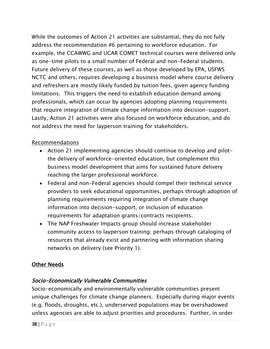While the outcomes of Action 21 activities are substantial, they do not fully address the recommendation #6 pertaining to workforce education. For example, the CCAWWG and UCAR COMET technical courses were delivered only as one-time pilots to a small number of Federal and non-Federal students. Future delivery of these courses, as well as those developed by EPA, USFWS NCTC and others, requires developing a business model where course delivery and refreshers are mostly likely funded by tuition fees, given agency funding limitations. This triggers the need to establish education demand among professionals, which can occur by agencies adopting planning requirements that require integration of climate change information into decision-support. Lastly, Action 21 activities were also focused on workforce education, and do not address the need for layperson training for stakeholders.

#### Recommendations

- Action 21 implementing agencies should continue to develop and pilotthe delivery of workforce-oriented education, but complement this business model development that aims for sustained future delivery reaching the larger professional workforce.
- Federal and non-Federal agencies should compel their technical service providers to seek educational opportunities, perhaps through adoption of planning requirements requiring integration of climate change information into decision-support, or inclusion of education requirements for adaptation grants/contracts recipients.
- The NAP Freshwater Impacts group should increase stakeholder community access to layperson training; perhaps through cataloging of resources that already exist and partnering with information sharing networks on delivery (see Priority 1).

#### Other Needs

#### Socio-Economically Vulnerable Communities

Socio-economically and environmentally vulnerable communities present unique challenges for climate change planners. Especially during major events (e.g. floods, droughts, etc.), underserved populations may be overshadowed unless agencies are able to adjust priorities and procedures. Further, in order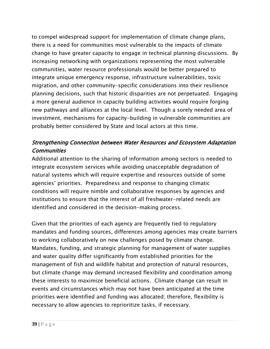to compel widespread support for implementation of climate change plans, there is a need for communities most vulnerable to the impacts of climate change to have greater capacity to engage in technical planning discussions. By increasing networking with organizations representing the most vulnerable communities, water resource professionals would be better prepared to integrate unique emergency response, infrastructure vulnerabilities, toxic migration, and other community-specific considerations into their resilience planning decisions, such that historic disparities are not perpetuated. Engaging a more general audience in capacity building activities would require forging new pathways and alliances at the local level. Though a sorely needed area of investment, mechanisms for capacity-building in vulnerable communities are probably better considered by State and local actors at this time.

#### Strengthening Connection between Water Resources and Ecosystem Adaptation **Communities**

Additional attention to the sharing of information among sectors is needed to integrate ecosystem services while avoiding unacceptable degradation of natural systems which will require expertise and resources outside of some agencies' priorities. Preparedness and response to changing climatic conditions will require nimble and collaborative responses by agencies and institutions to ensure that the interest of all freshwater-related needs are identified and considered in the decision-making process.

Given that the priorities of each agency are frequently tied to regulatory mandates and funding sources, differences among agencies may create barriers to working collaboratively on new challenges posed by climate change. Mandates, funding, and strategic planning for management of water supplies and water quality differ significantly from established priorities for the management of fish and wildlife habitat and protection of natural resources, but climate change may demand increased flexibility and coordination among these interests to maximize beneficial actions. Climate change can result in events and circumstances which may not have been anticipated at the time priorities were identified and funding was allocated; therefore, flexibility is necessary to allow agencies to reprioritize tasks, if necessary.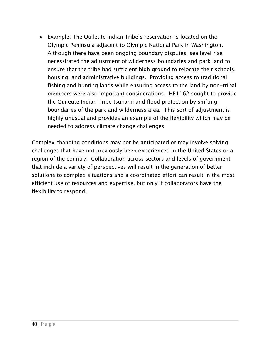• Example: The Quileute Indian Tribe's reservation is located on the Olympic Peninsula adjacent to Olympic National Park in Washington. Although there have been ongoing boundary disputes, sea level rise necessitated the adjustment of wilderness boundaries and park land to ensure that the tribe had sufficient high ground to relocate their schools, housing, and administrative buildings. Providing access to traditional fishing and hunting lands while ensuring access to the land by non-tribal members were also important considerations. HR1162 sought to provide the Quileute Indian Tribe tsunami and flood protection by shifting boundaries of the park and wilderness area. This sort of adjustment is highly unusual and provides an example of the flexibility which may be needed to address climate change challenges.

Complex changing conditions may not be anticipated or may involve solving challenges that have not previously been experienced in the United States or a region of the country. Collaboration across sectors and levels of government that include a variety of perspectives will result in the generation of better solutions to complex situations and a coordinated effort can result in the most efficient use of resources and expertise, but only if collaborators have the flexibility to respond.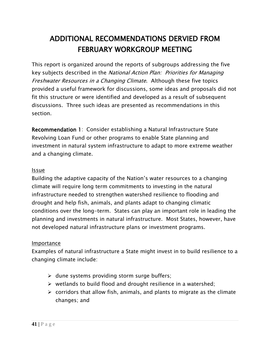## ADDITIONAL RECOMMENDATIONS DERVIED FROM FEBRUARY WORKGROUP MEETING

This report is organized around the reports of subgroups addressing the five key subjects described in the National Action Plan: Priorities for Managing Freshwater Resources in a Changing Climate. Although these five topics provided a useful framework for discussions, some ideas and proposals did not fit this structure or were identified and developed as a result of subsequent discussions. Three such ideas are presented as recommendations in this section.

Recommendation 1: Consider establishing a Natural Infrastructure State Revolving Loan Fund or other programs to enable State planning and investment in natural system infrastructure to adapt to more extreme weather and a changing climate.

#### Issue

Building the adaptive capacity of the Nation's water resources to a changing climate will require long term commitments to investing in the natural infrastructure needed to strengthen watershed resilience to flooding and drought and help fish, animals, and plants adapt to changing climatic conditions over the long-term. States can play an important role in leading the planning and investments in natural infrastructure. Most States, however, have not developed natural infrastructure plans or investment programs.

#### Importance

Examples of natural infrastructure a State might invest in to build resilience to a changing climate include:

- $\triangleright$  dune systems providing storm surge buffers;
- $\triangleright$  wetlands to build flood and drought resilience in a watershed;
- $\triangleright$  corridors that allow fish, animals, and plants to migrate as the climate changes; and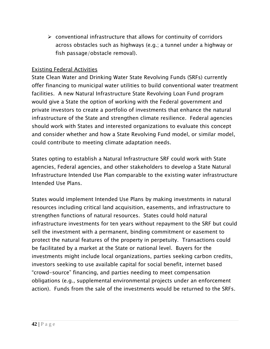$\triangleright$  conventional infrastructure that allows for continuity of corridors across obstacles such as highways (e.g.; a tunnel under a highway or fish passage/obstacle removal).

#### Existing Federal Activities

State Clean Water and Drinking Water State Revolving Funds (SRFs) currently offer financing to municipal water utilities to build conventional water treatment facilities. A new Natural Infrastructure State Revolving Loan Fund program would give a State the option of working with the Federal government and private investors to create a portfolio of investments that enhance the natural infrastructure of the State and strengthen climate resilience. Federal agencies should work with States and interested organizations to evaluate this concept and consider whether and how a State Revolving Fund model, or similar model, could contribute to meeting climate adaptation needs.

States opting to establish a Natural Infrastructure SRF could work with State agencies, Federal agencies, and other stakeholders to develop a State Natural Infrastructure Intended Use Plan comparable to the existing water infrastructure Intended Use Plans.

States would implement Intended Use Plans by making investments in natural resources including critical land acquisition, easements, and infrastructure to strengthen functions of natural resources. States could hold natural infrastructure investments for ten years without repayment to the SRF but could sell the investment with a permanent, binding commitment or easement to protect the natural features of the property in perpetuity. Transactions could be facilitated by a market at the State or national level. Buyers for the investments might include local organizations, parties seeking carbon credits, investors seeking to use available capital for social benefit, internet based "crowd-source" financing, and parties needing to meet compensation obligations (e.g., supplemental environmental projects under an enforcement action). Funds from the sale of the investments would be returned to the SRFs.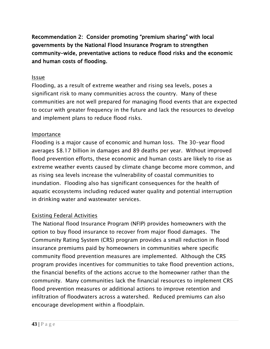Recommendation 2: Consider promoting "premium sharing" with local governments by the National Flood Insurance Program to strengthen community-wide, preventative actions to reduce flood risks and the economic and human costs of flooding.

#### Issue

Flooding, as a result of extreme weather and rising sea levels, poses a significant risk to many communities across the country. Many of these communities are not well prepared for managing flood events that are expected to occur with greater frequency in the future and lack the resources to develop and implement plans to reduce flood risks.

#### Importance

Flooding is a major cause of economic and human loss. The 30-year flood averages \$8.17 billion in damages and 89 deaths per year. Without improved flood prevention efforts, these economic and human costs are likely to rise as extreme weather events caused by climate change become more common, and as rising sea levels increase the vulnerability of coastal communities to inundation. Flooding also has significant consequences for the health of aquatic ecosystems including reduced water quality and potential interruption in drinking water and wastewater services.

#### Existing Federal Activities

The National flood Insurance Program (NFIP) provides homeowners with the option to buy flood insurance to recover from major flood damages. The Community Rating System (CRS) program provides a small reduction in flood insurance premiums paid by homeowners in communities where specific community flood prevention measures are implemented. Although the CRS program provides incentives for communities to take flood prevention actions, the financial benefits of the actions accrue to the homeowner rather than the community. Many communities lack the financial resources to implement CRS flood prevention measures or additional actions to improve retention and infiltration of floodwaters across a watershed. Reduced premiums can also encourage development within a floodplain.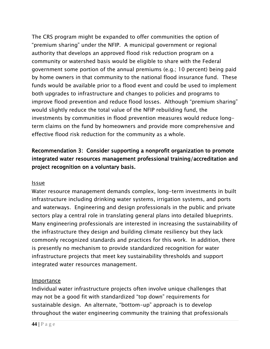The CRS program might be expanded to offer communities the option of "premium sharing" under the NFIP. A municipal government or regional authority that develops an approved flood risk reduction program on a community or watershed basis would be eligible to share with the Federal government some portion of the annual premiums (e.g.; 10 percent) being paid by home owners in that community to the national flood insurance fund. These funds would be available prior to a flood event and could be used to implement both upgrades to infrastructure and changes to policies and programs to improve flood prevention and reduce flood losses. Although "premium sharing" would slightly reduce the total value of the NFIP rebuilding fund, the investments by communities in flood prevention measures would reduce longterm claims on the fund by homeowners and provide more comprehensive and effective flood risk reduction for the community as a whole.

#### Recommendation 3: Consider supporting a nonprofit organization to promote integrated water resources management professional training/accreditation and project recognition on a voluntary basis.

#### Issue

Water resource management demands complex, long-term investments in built infrastructure including drinking water systems, irrigation systems, and ports and waterways. Engineering and design professionals in the public and private sectors play a central role in translating general plans into detailed blueprints. Many engineering professionals are interested in increasing the sustainability of the infrastructure they design and building climate resiliency but they lack commonly recognized standards and practices for this work. In addition, there is presently no mechanism to provide standardized recognition for water infrastructure projects that meet key sustainability thresholds and support integrated water resources management.

#### **Importance**

Individual water infrastructure projects often involve unique challenges that may not be a good fit with standardized "top down" requirements for sustainable design. An alternate, "bottom-up" approach is to develop throughout the water engineering community the training that professionals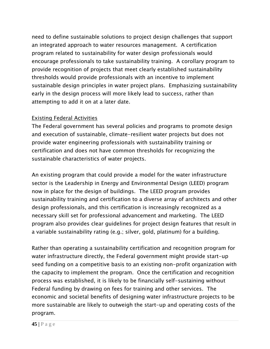need to define sustainable solutions to project design challenges that support an integrated approach to water resources management. A certification program related to sustainability for water design professionals would encourage professionals to take sustainability training. A corollary program to provide recognition of projects that meet clearly established sustainability thresholds would provide professionals with an incentive to implement sustainable design principles in water project plans. Emphasizing sustainability early in the design process will more likely lead to success, rather than attempting to add it on at a later date.

#### Existing Federal Activities

The Federal government has several policies and programs to promote design and execution of sustainable, climate-resilient water projects but does not provide water engineering professionals with sustainability training or certification and does not have common thresholds for recognizing the sustainable characteristics of water projects.

An existing program that could provide a model for the water infrastructure sector is the Leadership in Energy and Environmental Design (LEED) program now in place for the design of buildings. The LEED program provides sustainability training and certification to a diverse array of architects and other design professionals, and this certification is increasingly recognized as a necessary skill set for professional advancement and marketing. The LEED program also provides clear guidelines for project design features that result in a variable sustainability rating (e.g.; silver, gold, platinum) for a building.

Rather than operating a sustainability certification and recognition program for water infrastructure directly, the Federal government might provide start-up seed funding on a competitive basis to an existing non-profit organization with the capacity to implement the program. Once the certification and recognition process was established, it is likely to be financially self-sustaining without Federal funding by drawing on fees for training and other services. The economic and societal benefits of designing water infrastructure projects to be more sustainable are likely to outweigh the start-up and operating costs of the program.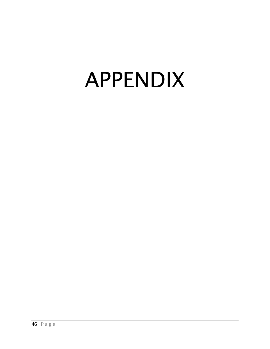# APPENDIX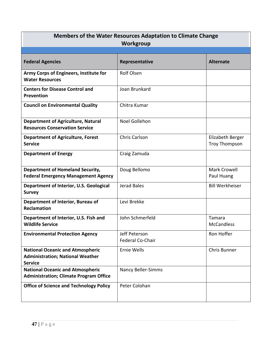| Workgroup<br><b>Federal Agencies</b><br><b>Alternate</b><br>Representative<br><b>Rolf Olsen</b><br>Army Corps of Engineers, Institute for |  |
|-------------------------------------------------------------------------------------------------------------------------------------------|--|
|                                                                                                                                           |  |
|                                                                                                                                           |  |
| <b>Water Resources</b>                                                                                                                    |  |
| Joan Brunkard<br><b>Centers for Disease Control and</b><br>Prevention                                                                     |  |
| Chitra Kumar<br><b>Council on Environmental Quality</b>                                                                                   |  |
| Noel Gollehon<br><b>Department of Agriculture, Natural</b><br><b>Resources Conservation Service</b>                                       |  |
| <b>Chris Carlson</b><br>Elizabeth Berger<br><b>Department of Agriculture, Forest</b><br><b>Service</b><br><b>Troy Thompson</b>            |  |
| <b>Department of Energy</b><br>Craig Zamuda                                                                                               |  |
| <b>Department of Homeland Security,</b><br>Mark Crowell<br>Doug Bellomo<br><b>Federal Emergency Management Agency</b><br>Paul Huang       |  |
| Jerad Bales<br><b>Bill Werkheiser</b><br>Department of Interior, U.S. Geological<br><b>Survey</b>                                         |  |
| Levi Brekke<br>Department of Interior, Bureau of<br><b>Reclamation</b>                                                                    |  |
| John Schmerfeld<br>Department of Interior, U.S. Fish and<br>Tamara<br><b>Wildlife Service</b><br><b>McCandless</b>                        |  |
| Jeff Peterson<br>Ron Hoffer<br><b>Environmental Protection Agency</b><br>Federal Co-Chair                                                 |  |
| <b>National Oceanic and Atmospheric</b><br>Ernie Wells<br>Chris Bunner<br><b>Administration; National Weather</b><br><b>Service</b>       |  |
| <b>National Oceanic and Atmospheric</b><br>Nancy Beller-Simms<br><b>Administration; Climate Program Office</b>                            |  |
| <b>Office of Science and Technology Policy</b><br>Peter Colohan                                                                           |  |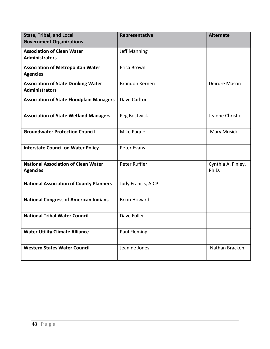| <b>State, Tribal, and Local</b><br><b>Government Organizations</b>  | Representative        | <b>Alternate</b>            |
|---------------------------------------------------------------------|-----------------------|-----------------------------|
| <b>Association of Clean Water</b><br><b>Administrators</b>          | <b>Jeff Manning</b>   |                             |
| <b>Association of Metropolitan Water</b><br><b>Agencies</b>         | Erica Brown           |                             |
| <b>Association of State Drinking Water</b><br><b>Administrators</b> | <b>Brandon Kernen</b> | Deirdre Mason               |
| <b>Association of State Floodplain Managers</b>                     | Dave Carlton          |                             |
| <b>Association of State Wetland Managers</b>                        | Peg Bostwick          | Jeanne Christie             |
| <b>Groundwater Protection Council</b>                               | Mike Paque            | Mary Musick                 |
| <b>Interstate Council on Water Policy</b>                           | Peter Evans           |                             |
| <b>National Association of Clean Water</b><br><b>Agencies</b>       | Peter Ruffier         | Cynthia A. Finley,<br>Ph.D. |
| <b>National Association of County Planners</b>                      | Judy Francis, AICP    |                             |
| <b>National Congress of American Indians</b>                        | <b>Brian Howard</b>   |                             |
| <b>National Tribal Water Council</b>                                | Dave Fuller           |                             |
| <b>Water Utility Climate Alliance</b>                               | Paul Fleming          |                             |
| <b>Western States Water Council</b>                                 | Jeanine Jones         | Nathan Bracken              |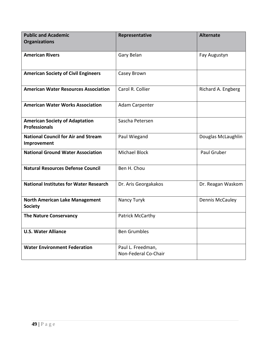| <b>Public and Academic</b><br><b>Organizations</b>            | Representative                            | <b>Alternate</b>   |
|---------------------------------------------------------------|-------------------------------------------|--------------------|
|                                                               |                                           |                    |
| <b>American Rivers</b>                                        | Gary Belan                                | Fay Augustyn       |
| <b>American Society of Civil Engineers</b>                    | Casey Brown                               |                    |
| <b>American Water Resources Association</b>                   | Carol R. Collier                          | Richard A. Engberg |
| <b>American Water Works Association</b>                       | Adam Carpenter                            |                    |
| <b>American Society of Adaptation</b><br><b>Professionals</b> | Sascha Petersen                           |                    |
| <b>National Council for Air and Stream</b><br>Improvement     | Paul Wiegand                              | Douglas McLaughlin |
| <b>National Ground Water Association</b>                      | Michael Block                             | Paul Gruber        |
| <b>Natural Resources Defense Council</b>                      | Ben H. Chou                               |                    |
| <b>National Institutes for Water Research</b>                 | Dr. Aris Georgakakos                      | Dr. Reagan Waskom  |
| <b>North American Lake Management</b><br><b>Society</b>       | Nancy Turyk                               | Dennis McCauley    |
| <b>The Nature Conservancy</b>                                 | Patrick McCarthy                          |                    |
| <b>U.S. Water Alliance</b>                                    | <b>Ben Grumbles</b>                       |                    |
| <b>Water Environment Federation</b>                           | Paul L. Freedman,<br>Non-Federal Co-Chair |                    |